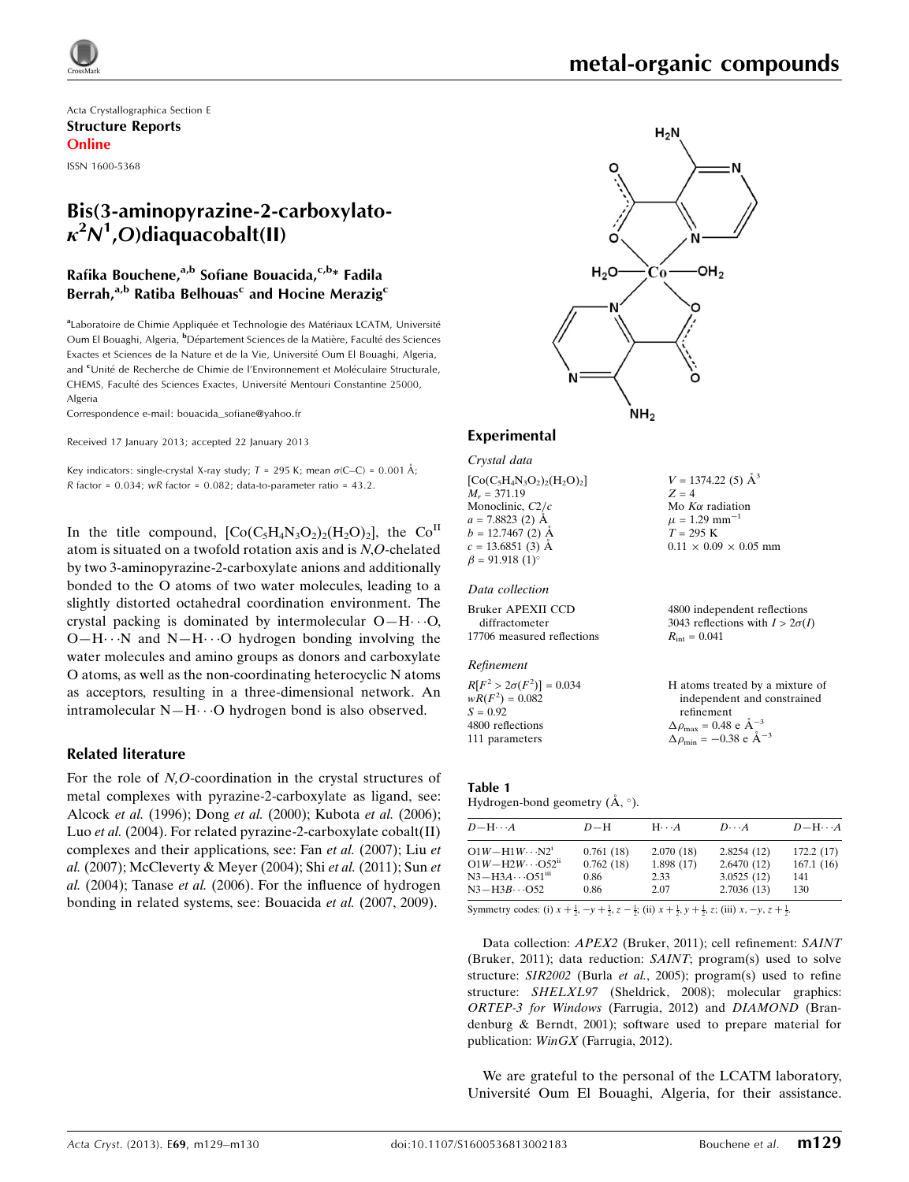# metal-organic compounds

 $V = 1374.22$  (5)  $\AA^3$ 

 $0.11 \times 0.09 \times 0.05$  mm

4800 independent reflections 3043 reflections with  $I > 2\sigma(I)$ 

H atoms treated by a mixture of independent and constrained

 $Z = 4$ Mo  $K\alpha$  radiation  $\mu$  = 1.29 mm<sup>-1</sup>  $T = 295$  K

 $R_{\rm int} = 0.041$ 

refinement  $\Delta \rho_{\text{max}} = 0.48 \text{ e A}^{-3}$  $\Delta \rho_{\rm min} = -0.38 \text{ e A}^{-3}$ 

Acta Crystallographica Section E Structure Reports Online

ISSN 1600-5368

# Bis(3-aminopyrazine-2-carboxylato- $\kappa^2 N^1$ ,O)diaquacobalt(II)

# Rafika Bouchene,<sup>a,b</sup> Sofiane Bouacida,<sup>c,b\*</sup> Fadila Berrah,<sup>a,b</sup> Ratiba Belhouas<sup>c</sup> and Hocine Merazig<sup>c</sup>

aLaboratoire de Chimie Appliquée et Technologie des Matériaux LCATM, Université Oum El Bouaghi, Algeria, <sup>b</sup>Département Sciences de la Matière, Faculté des Sciences Exactes et Sciences de la Nature et de la Vie, Université Oum El Bouaghi, Algeria, and <sup>c</sup>Unité de Recherche de Chimie de l'Environnement et Moléculaire Structurale, CHEMS, Faculté des Sciences Exactes, Université Mentouri Constantine 25000 Algeria

Correspondence e-mail: [bouacida\\_sofiane@yahoo.fr](https://scripts.iucr.org/cgi-bin/cr.cgi?rm=pdfbb&cnor=wm2721&bbid=BB17)

Received 17 January 2013; accepted 22 January 2013

Key indicators: single-crystal X-ray study;  $T = 295$  K; mean  $\sigma$ (C–C) = 0.001 Å; R factor =  $0.034$ ; wR factor =  $0.082$ ; data-to-parameter ratio =  $43.2$ .

In the title compound,  $[Co(C_5H_4N_3O_2)_2(H_2O)_2]$ , the  $Co<sup>II</sup>$ atom is situated on a twofold rotation axis and is N,O-chelated by two 3-aminopyrazine-2-carboxylate anions and additionally bonded to the O atoms of two water molecules, leading to a slightly distorted octahedral coordination environment. The crystal packing is dominated by intermolecular  $O-H \cdot \cdot O$ ,  $O-H\cdots N$  and  $N-H\cdots O$  hydrogen bonding involving the water molecules and amino groups as donors and carboxylate O atoms, as well as the non-coordinating heterocyclic N atoms as acceptors, resulting in a three-dimensional network. An intramolecular N-H··· O hydrogen bond is also observed.

#### Related literature

For the role of N,O-coordination in the crystal structures of metal complexes with pyrazine-2-carboxylate as ligand, see: Alcock et al. (1996); Dong et al. (2000); Kubota et al. (2006); Luo et al. (2004). For related pyrazine-2-carboxylate cobalt(II) complexes and their applications, see: Fan et al. (2007); Liu et al. (2007); McCleverty & Meyer (2004); Shi et al. (2011); Sun et al. (2004); Tanase et al. (2006). For the influence of hydrogen bonding in related systems, see: Bouacida et al. (2007, 2009).



## Experimental

Crystal data

 $[Co(C<sub>5</sub>H<sub>4</sub>N<sub>3</sub>O<sub>2</sub>)<sub>2</sub>(H<sub>2</sub>O)<sub>2</sub>]$  $M<sub>r</sub> = 371.19$ Monoclinic,  $C2/c$  $a = 7.8823(2)$  Å  $b = 12.7467(2)$  Å  $c = 13.6851(3)$  Å  $\beta = 91.918(1)$ <sup>o</sup>

## Data collection

Bruker APEXII CCD diffractometer 17706 measured reflections

#### Refinement

 $R[F^2 > 2\sigma(F^2)] = 0.034$  $wR(F^2) = 0.082$  $S = 0.92$ 4800 reflections 111 parameters

#### Table 1

Hydrogen-bond geometry  $(\mathring{A}, \degree)$ .

| $D - H \cdots A$                     | $D-H$     | $H\cdots A$ | $D\cdots A$ | $D - H \cdots A$ |
|--------------------------------------|-----------|-------------|-------------|------------------|
| $O1W - H1W \cdots N2^i$              | 0.761(18) | 2.070(18)   | 2.8254(12)  | 172.2(17)        |
| $O1W - H2W \cdots O52$ <sup>ii</sup> | 0.762(18) | 1.898(17)   | 2.6470(12)  | 167.1(16)        |
| $N3 - H3A \cdots O51$ <sup>iii</sup> | 0.86      | 2.33        | 3.0525(12)  | 141              |
| $N3 - H3B \cdots O52$                | 0.86      | 2.07        | 2.7036(13)  | 130              |

Symmetry codes: (i)  $x + \frac{1}{2}$ ,  $-y + \frac{1}{2}$ ,  $z - \frac{1}{2}$ ; (ii)  $x + \frac{1}{2}$ ,  $y + \frac{1}{2}$ , z; (iii)  $x$ ,  $-y$ ,  $z + \frac{1}{2}$ .

Data collection: APEX2 (Bruker, 2011); cell refinement: SAINT (Bruker, 2011); data reduction: SAINT; program(s) used to solve structure: SIR2002 (Burla et al., 2005); program(s) used to refine structure: SHELXL97 (Sheldrick, 2008); molecular graphics: ORTEP-3 for Windows (Farrugia, 2012) and DIAMOND (Brandenburg & Berndt, 2001); software used to prepare material for publication: WinGX (Farrugia, 2012).

We are grateful to the personal of the LCATM laboratory, Université Oum El Bouaghi, Algeria, for their assistance.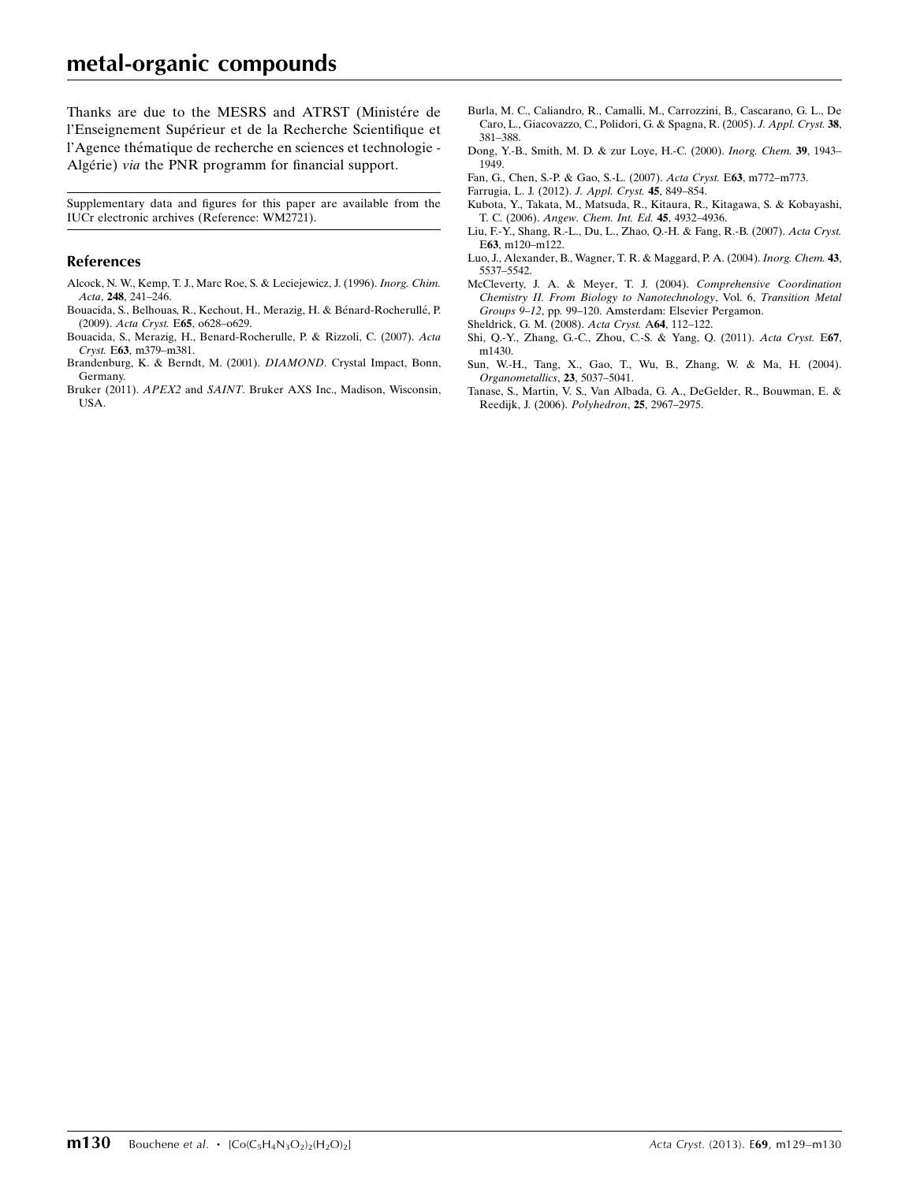# metal-organic compounds

Thanks are due to the MESRS and ATRST (Ministére de l'Enseignement Supérieur et de la Recherche Scientifique et l'Agence thématique de recherche en sciences et technologie -Algérie) via the PNR programm for financial support.

Supplementary data and figures for this paper are available from the IUCr electronic archives (Reference: WM2721).

#### References

- [Alcock, N. W., Kemp, T. J., Marc Roe, S. & Leciejewicz, J. \(1996\).](https://scripts.iucr.org/cgi-bin/cr.cgi?rm=pdfbb&cnor=wm2721&bbid=BB1) Inorg. Chim. Acta, 248[, 241–246.](https://scripts.iucr.org/cgi-bin/cr.cgi?rm=pdfbb&cnor=wm2721&bbid=BB1)
- Bouacida, S., Belhouas, R., Kechout, H., Merazig, H. & Bénard-Rocherullé, P. (2009). Acta Cryst. E65[, o628–o629.](https://scripts.iucr.org/cgi-bin/cr.cgi?rm=pdfbb&cnor=wm2721&bbid=BB2)
- [Bouacida, S., Merazig, H., Benard-Rocherulle, P. & Rizzoli, C. \(2007\).](https://scripts.iucr.org/cgi-bin/cr.cgi?rm=pdfbb&cnor=wm2721&bbid=BB3) Acta Cryst. E63[, m379–m381.](https://scripts.iucr.org/cgi-bin/cr.cgi?rm=pdfbb&cnor=wm2721&bbid=BB3)
- [Brandenburg, K. & Berndt, M. \(2001\).](https://scripts.iucr.org/cgi-bin/cr.cgi?rm=pdfbb&cnor=wm2721&bbid=BB4) DIAMOND. Crystal Impact, Bonn, [Germany.](https://scripts.iucr.org/cgi-bin/cr.cgi?rm=pdfbb&cnor=wm2721&bbid=BB4)
- Bruker (2011). APEX2 and SAINT[. Bruker AXS Inc., Madison, Wisconsin,](https://scripts.iucr.org/cgi-bin/cr.cgi?rm=pdfbb&cnor=wm2721&bbid=BB5) [USA.](https://scripts.iucr.org/cgi-bin/cr.cgi?rm=pdfbb&cnor=wm2721&bbid=BB5)
- [Burla, M. C., Caliandro, R., Camalli, M., Carrozzini, B., Cascarano, G. L., De](https://scripts.iucr.org/cgi-bin/cr.cgi?rm=pdfbb&cnor=wm2721&bbid=BB6) [Caro, L., Giacovazzo, C., Polidori, G. & Spagna, R. \(2005\).](https://scripts.iucr.org/cgi-bin/cr.cgi?rm=pdfbb&cnor=wm2721&bbid=BB6) J. Appl. Cryst. 38, [381–388.](https://scripts.iucr.org/cgi-bin/cr.cgi?rm=pdfbb&cnor=wm2721&bbid=BB6)
- [Dong, Y.-B., Smith, M. D. & zur Loye, H.-C. \(2000\).](https://scripts.iucr.org/cgi-bin/cr.cgi?rm=pdfbb&cnor=wm2721&bbid=BB7) Inorg. Chem. 39, 1943– [1949.](https://scripts.iucr.org/cgi-bin/cr.cgi?rm=pdfbb&cnor=wm2721&bbid=BB7)
- [Fan, G., Chen, S.-P. & Gao, S.-L. \(2007\).](https://scripts.iucr.org/cgi-bin/cr.cgi?rm=pdfbb&cnor=wm2721&bbid=BB8) Acta Cryst. E63, m772–m773.
- [Farrugia, L. J. \(2012\).](https://scripts.iucr.org/cgi-bin/cr.cgi?rm=pdfbb&cnor=wm2721&bbid=BB9) J. Appl. Cryst. 45, 849–854.
- [Kubota, Y., Takata, M., Matsuda, R., Kitaura, R., Kitagawa, S. & Kobayashi,](https://scripts.iucr.org/cgi-bin/cr.cgi?rm=pdfbb&cnor=wm2721&bbid=BB10) T. C. (2006). [Angew. Chem. Int. Ed.](https://scripts.iucr.org/cgi-bin/cr.cgi?rm=pdfbb&cnor=wm2721&bbid=BB10) 45, 4932–4936.
- [Liu, F.-Y., Shang, R.-L., Du, L., Zhao, Q.-H. & Fang, R.-B. \(2007\).](https://scripts.iucr.org/cgi-bin/cr.cgi?rm=pdfbb&cnor=wm2721&bbid=BB11) Acta Cryst. E63[, m120–m122.](https://scripts.iucr.org/cgi-bin/cr.cgi?rm=pdfbb&cnor=wm2721&bbid=BB11)
- [Luo, J., Alexander, B., Wagner, T. R. & Maggard, P. A. \(2004\).](https://scripts.iucr.org/cgi-bin/cr.cgi?rm=pdfbb&cnor=wm2721&bbid=BB12) Inorg. Chem. 43, [5537–5542.](https://scripts.iucr.org/cgi-bin/cr.cgi?rm=pdfbb&cnor=wm2721&bbid=BB12)
- [McCleverty, J. A. & Meyer, T. J. \(2004\).](https://scripts.iucr.org/cgi-bin/cr.cgi?rm=pdfbb&cnor=wm2721&bbid=BB13) Comprehensive Coordination [Chemistry II. From Biology to Nanotechnology](https://scripts.iucr.org/cgi-bin/cr.cgi?rm=pdfbb&cnor=wm2721&bbid=BB13), Vol. 6, Transition Metal Groups 9–12[, pp. 99–120. Amsterdam: Elsevier Pergamon.](https://scripts.iucr.org/cgi-bin/cr.cgi?rm=pdfbb&cnor=wm2721&bbid=BB13)
- [Sheldrick, G. M. \(2008\).](https://scripts.iucr.org/cgi-bin/cr.cgi?rm=pdfbb&cnor=wm2721&bbid=BB14) Acta Cryst. A64, 112–122.
- [Shi, Q.-Y., Zhang, G.-C., Zhou, C.-S. & Yang, Q. \(2011\).](https://scripts.iucr.org/cgi-bin/cr.cgi?rm=pdfbb&cnor=wm2721&bbid=BB15) Acta Cryst. E67, [m1430.](https://scripts.iucr.org/cgi-bin/cr.cgi?rm=pdfbb&cnor=wm2721&bbid=BB15)
- [Sun, W.-H., Tang, X., Gao, T., Wu, B., Zhang, W. & Ma, H. \(2004\).](https://scripts.iucr.org/cgi-bin/cr.cgi?rm=pdfbb&cnor=wm2721&bbid=BB16) [Organometallics](https://scripts.iucr.org/cgi-bin/cr.cgi?rm=pdfbb&cnor=wm2721&bbid=BB16), 23, 5037–5041.
- [Tanase, S., Martin, V. S., Van Albada, G. A., DeGelder, R., Bouwman, E. &](https://scripts.iucr.org/cgi-bin/cr.cgi?rm=pdfbb&cnor=wm2721&bbid=BB17) [Reedijk, J. \(2006\).](https://scripts.iucr.org/cgi-bin/cr.cgi?rm=pdfbb&cnor=wm2721&bbid=BB17) Polyhedron, 25, 2967–2975.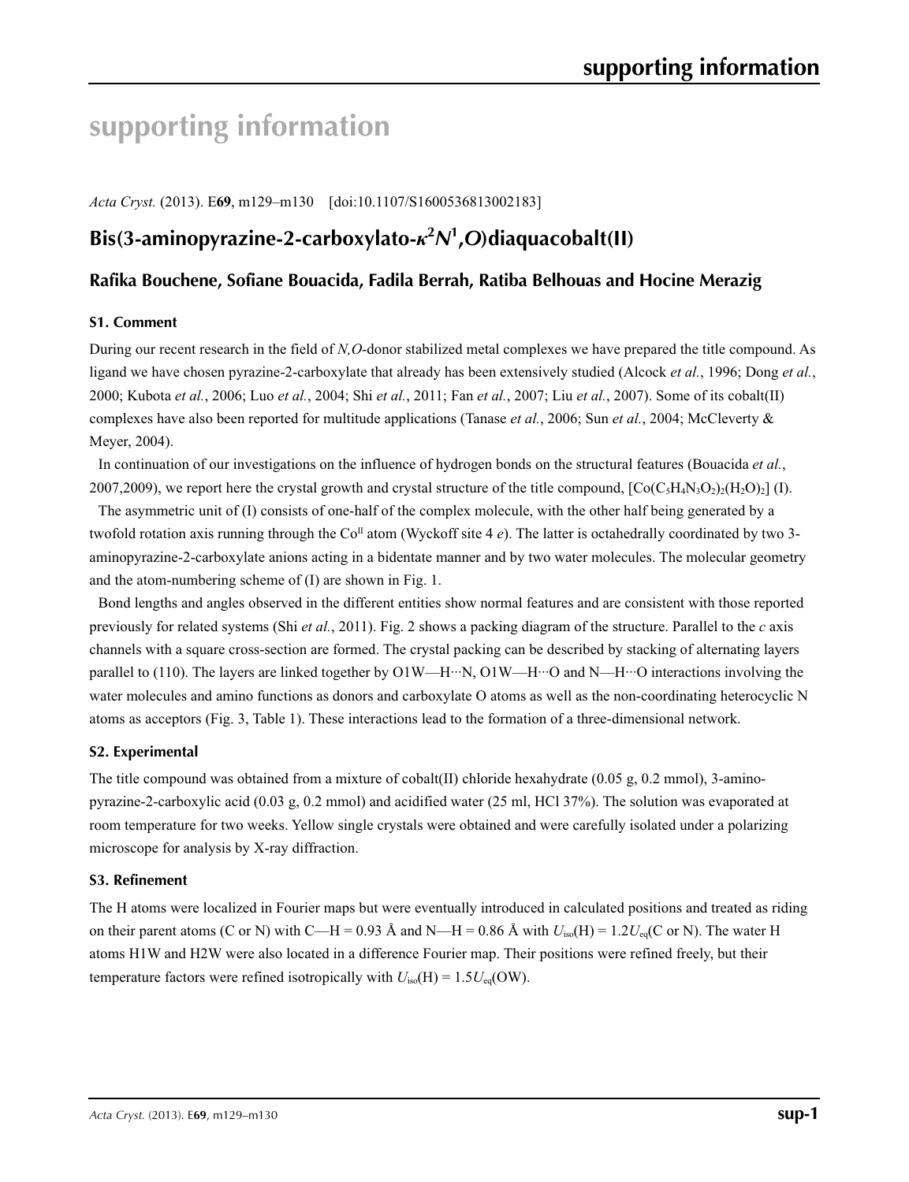# **supporting information**

*Acta Cryst.* (2013). E**69**, m129–m130 [doi:10.1107/S1600536813002183]

# **Bis(3-aminopyrazine-2-carboxylato-***κ***<sup>2</sup>** *N***1 ,***O***)diaquacobalt(II)**

# **Rafika Bouchene, Sofiane Bouacida, Fadila Berrah, Ratiba Belhouas and Hocine Merazig**

#### **S1. Comment**

During our recent research in the field of *N,O*-donor stabilized metal complexes we have prepared the title compound. As ligand we have chosen pyrazine-2-carboxylate that already has been extensively studied (Alcock *et al.*, 1996; Dong *et al.*, 2000; Kubota *et al.*, 2006; Luo *et al.*, 2004; Shi *et al.*, 2011; Fan *et al.*, 2007; Liu *et al.*, 2007). Some of its cobalt(II) complexes have also been reported for multitude applications (Tanase *et al.*, 2006; Sun *et al.*, 2004; McCleverty & Meyer, 2004).

In continuation of our investigations on the influence of hydrogen bonds on the structural features (Bouacida *et al.*, 2007,2009), we report here the crystal growth and crystal structure of the title compound,  $[Co(C_5H_4N_3O_2)_2(H_2O)_2]$  (I).

The asymmetric unit of (I) consists of one-half of the complex molecule, with the other half being generated by a twofold rotation axis running through the  $Co<sup>II</sup>$  atom (Wyckoff site 4  $e$ ). The latter is octahedrally coordinated by two 3aminopyrazine-2-carboxylate anions acting in a bidentate manner and by two water molecules. The molecular geometry and the atom-numbering scheme of (I) are shown in Fig. 1.

Bond lengths and angles observed in the different entities show normal features and are consistent with those reported previously for related systems (Shi *et al.*, 2011). Fig. 2 shows a packing diagram of the structure. Parallel to the *c* axis channels with a square cross-section are formed. The crystal packing can be described by stacking of alternating layers parallel to (110). The layers are linked together by  $O1W-H··N$ ,  $O1W-H··O$  and N—H···O interactions involving the water molecules and amino functions as donors and carboxylate O atoms as well as the non-coordinating heterocyclic N atoms as acceptors (Fig. 3, Table 1). These interactions lead to the formation of a three-dimensional network.

#### **S2. Experimental**

The title compound was obtained from a mixture of cobalt(II) chloride hexahydrate (0.05 g, 0.2 mmol), 3-aminopyrazine-2-carboxylic acid (0.03 g, 0.2 mmol) and acidified water (25 ml, HCl 37%). The solution was evaporated at room temperature for two weeks. Yellow single crystals were obtained and were carefully isolated under a polarizing microscope for analysis by X-ray diffraction.

#### **S3. Refinement**

The H atoms were localized in Fourier maps but were eventually introduced in calculated positions and treated as riding on their parent atoms (C or N) with C—H = 0.93 Å and N—H = 0.86 Å with  $U_{iso}(H) = 1.2U_{eq}(C \text{ or } N)$ . The water H atoms H1W and H2W were also located in a difference Fourier map. Their positions were refined freely, but their temperature factors were refined isotropically with  $U_{iso}(H) = 1.5U_{eq}(OW)$ .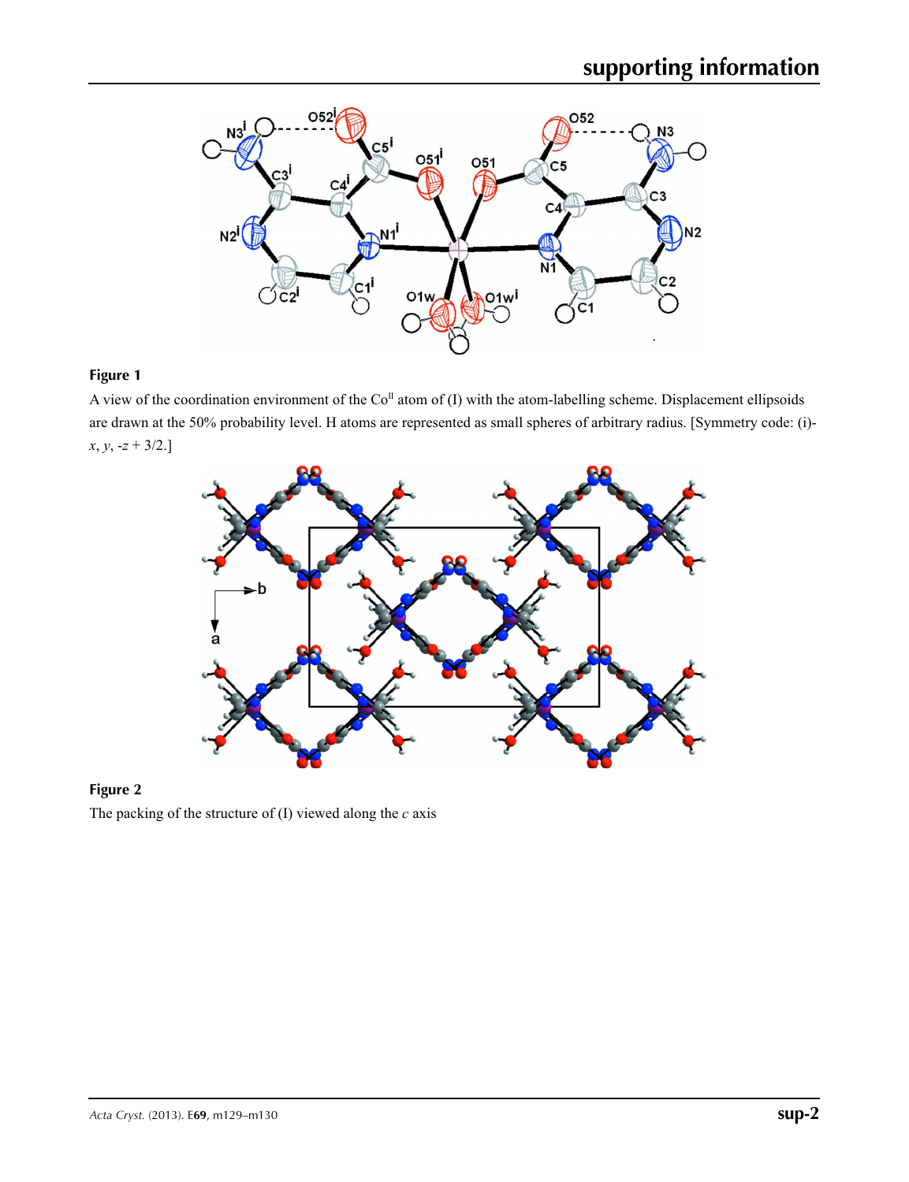

## **Figure 1**

A view of the coordination environment of the  $Co<sup>\Pi</sup>$  atom of (I) with the atom-labelling scheme. Displacement ellipsoids are drawn at the 50% probability level. H atoms are represented as small spheres of arbitrary radius. [Symmetry code: (i) *x*, *y*, -*z* + 3/2.]



### **Figure 2**

The packing of the structure of (I) viewed along the *c* axis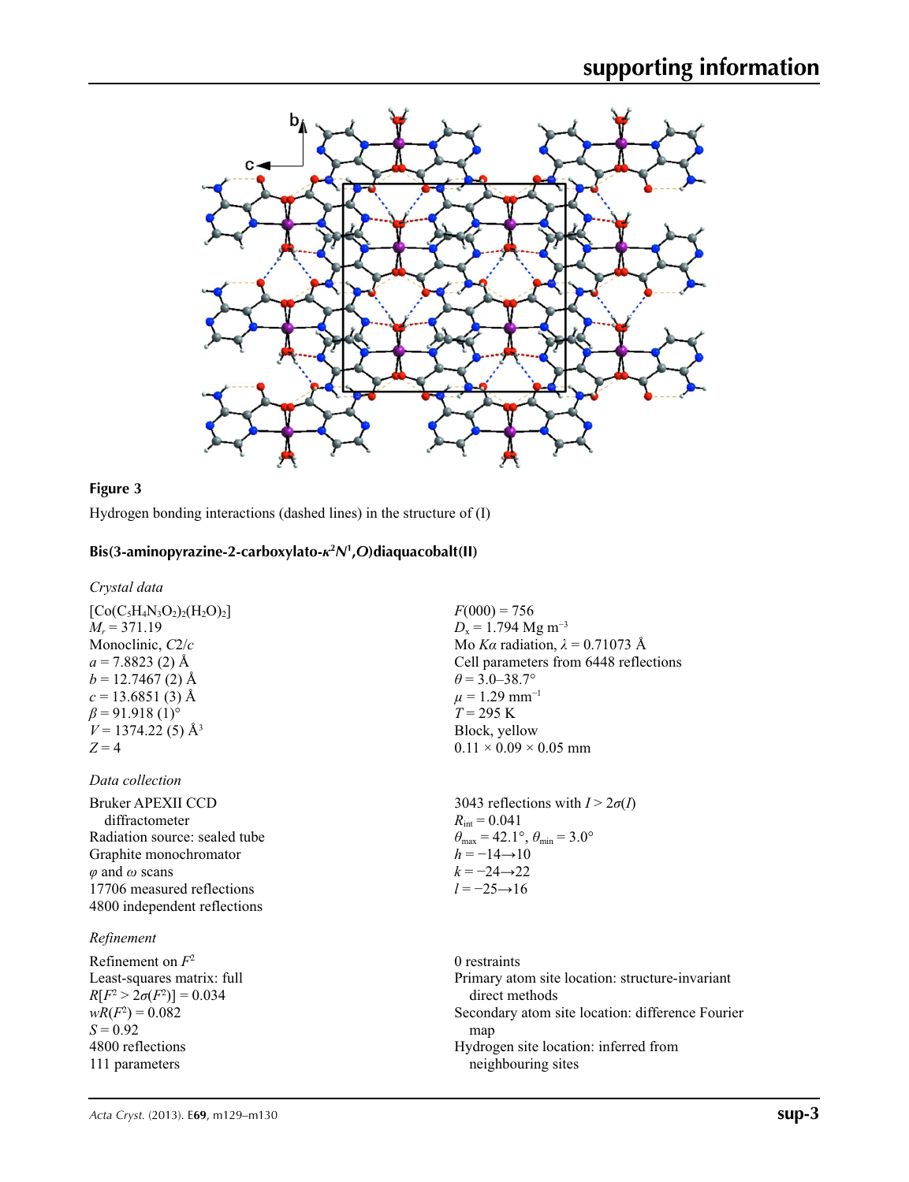

### **Figure 3**

Hydrogen bonding interactions (dashed lines) in the structure of (I)

## **Bis(3-aminopyrazine-2-carboxylato-***κ***<sup>2</sup>** *N***<sup>1</sup> ,***O***)diaquacobalt(II)**

#### *Crystal data*

 $[Co(C<sub>5</sub>H<sub>4</sub>N<sub>3</sub>O<sub>2</sub>)<sub>2</sub>(H<sub>2</sub>O)<sub>2</sub>]$  $M_r = 371.19$ Monoclinic, *C*2/*c*  $a = 7.8823$  (2) Å  $b = 12.7467(2)$  Å  $c = 13.6851(3)$  Å  $\beta$  = 91.918 (1)<sup>o</sup>  $V = 1374.22(5)$  Å<sup>3</sup>  $Z = 4$ 

#### *Data collection*

Bruker APEXII CCD diffractometer Radiation source: sealed tube Graphite monochromator *φ* and *ω* scans 17706 measured reflections 4800 independent reflections

#### *Refinement*

Refinement on *F*<sup>2</sup> Least-squares matrix: full *R*[ $F^2 > 2\sigma(F^2)$ ] = 0.034  $wR(F^2) = 0.082$  $S = 0.92$ 4800 reflections 111 parameters

 $F(000) = 756$  $D_x = 1.794 \text{ Mg m}^{-3}$ Mo *Kα* radiation, *λ* = 0.71073 Å Cell parameters from 6448 reflections  $\theta$  = 3.0–38.7°  $\mu$  = 1.29 mm<sup>-1</sup> *T* = 295 K Block, yellow  $0.11 \times 0.09 \times 0.05$  mm

3043 reflections with  $I > 2\sigma(I)$  $R_{\text{int}} = 0.041$  $\theta_{\text{max}} = 42.1^{\circ}, \theta_{\text{min}} = 3.0^{\circ}$  $h = -14 \rightarrow 10$  $k = -24 \rightarrow 22$ *l* = −25→16

0 restraints Primary atom site location: structure-invariant direct methods Secondary atom site location: difference Fourier map Hydrogen site location: inferred from neighbouring sites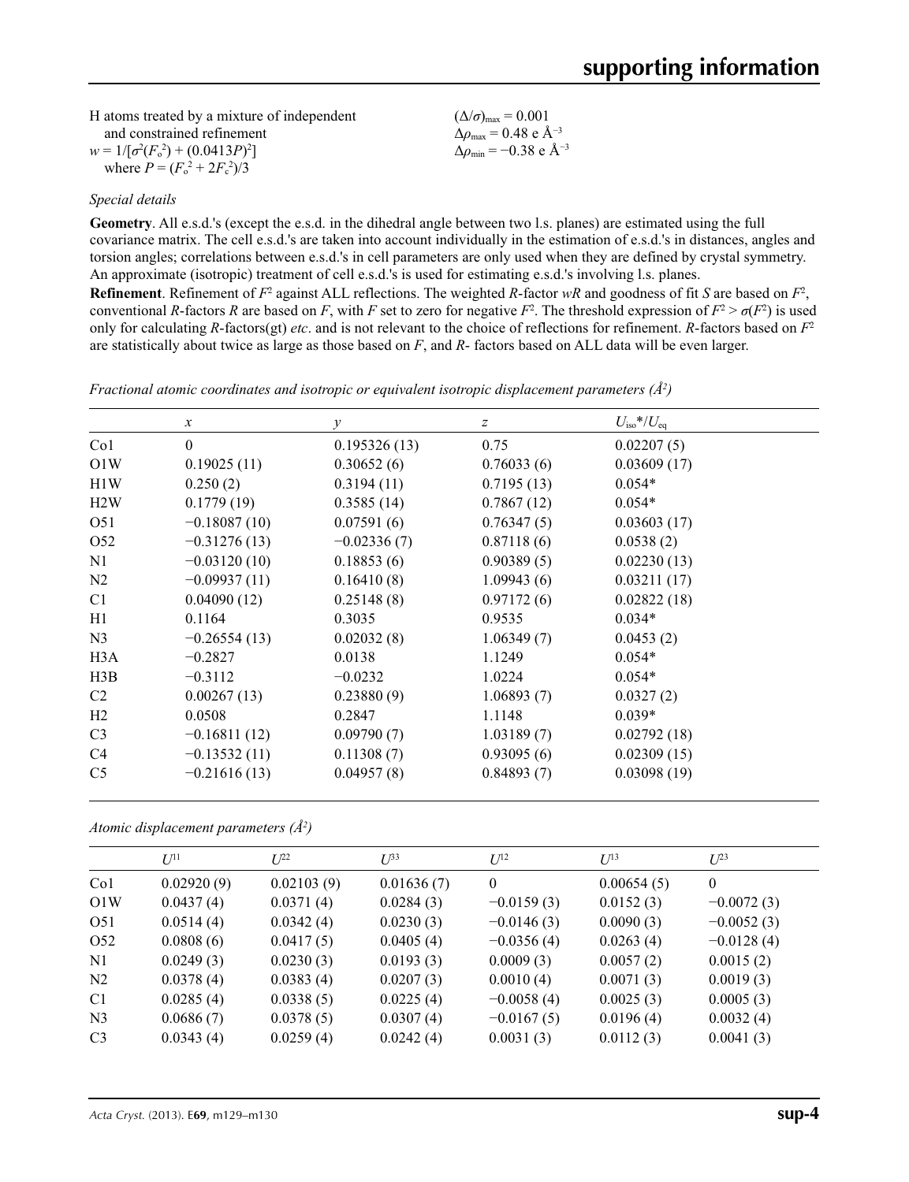| H atoms treated by a mixture of independent | $(\Delta/\sigma)_{\text{max}} = 0.001$                    |
|---------------------------------------------|-----------------------------------------------------------|
| and constrained refinement                  | $\Delta\rho_{\rm max}$ = 0.48 e Å <sup>-3</sup>           |
| $w = 1/[\sigma^2(F_0^2) + (0.0413P)^2]$     | $\Delta\rho_{\rm min} = -0.38 \text{ e } \text{\AA}^{-3}$ |
| where $P = (F_0^2 + 2F_c^2)/3$              |                                                           |

#### *Special details*

**Geometry**. All e.s.d.'s (except the e.s.d. in the dihedral angle between two l.s. planes) are estimated using the full covariance matrix. The cell e.s.d.'s are taken into account individually in the estimation of e.s.d.'s in distances, angles and torsion angles; correlations between e.s.d.'s in cell parameters are only used when they are defined by crystal symmetry. An approximate (isotropic) treatment of cell e.s.d.'s is used for estimating e.s.d.'s involving l.s. planes.

**Refinement**. Refinement of  $F^2$  against ALL reflections. The weighted *R*-factor  $wR$  and goodness of fit *S* are based on  $F^2$ , conventional *R*-factors *R* are based on *F*, with *F* set to zero for negative  $F^2$ . The threshold expression of  $F^2 > \sigma(F^2)$  is used only for calculating *R*-factors(gt) *etc*. and is not relevant to the choice of reflections for refinement. *R*-factors based on *F*<sup>2</sup> are statistically about twice as large as those based on *F*, and *R*- factors based on ALL data will be even larger.

|                 | $\mathcal{X}$  | $\mathcal{Y}$ | $\boldsymbol{Z}$ | $U_{\rm iso}*/U_{\rm eq}$ |
|-----------------|----------------|---------------|------------------|---------------------------|
| Co1             | $\Omega$       | 0.195326(13)  | 0.75             | 0.02207(5)                |
| O1W             | 0.19025(11)    | 0.30652(6)    | 0.76033(6)       | 0.03609(17)               |
| H1W             | 0.250(2)       | 0.3194(11)    | 0.7195(13)       | $0.054*$                  |
| H2W             | 0.1779(19)     | 0.3585(14)    | 0.7867(12)       | $0.054*$                  |
| O <sub>51</sub> | $-0.18087(10)$ | 0.07591(6)    | 0.76347(5)       | 0.03603(17)               |
| O <sub>52</sub> | $-0.31276(13)$ | $-0.02336(7)$ | 0.87118(6)       | 0.0538(2)                 |
| N1              | $-0.03120(10)$ | 0.18853(6)    | 0.90389(5)       | 0.02230(13)               |
| N2              | $-0.09937(11)$ | 0.16410(8)    | 1.09943(6)       | 0.03211(17)               |
| C <sub>1</sub>  | 0.04090(12)    | 0.25148(8)    | 0.97172(6)       | 0.02822(18)               |
| H1              | 0.1164         | 0.3035        | 0.9535           | $0.034*$                  |
| N <sub>3</sub>  | $-0.26554(13)$ | 0.02032(8)    | 1.06349(7)       | 0.0453(2)                 |
| H3A             | $-0.2827$      | 0.0138        | 1.1249           | $0.054*$                  |
| H3B             | $-0.3112$      | $-0.0232$     | 1.0224           | $0.054*$                  |
| C2              | 0.00267(13)    | 0.23880(9)    | 1.06893(7)       | 0.0327(2)                 |
| H2              | 0.0508         | 0.2847        | 1.1148           | $0.039*$                  |
| C <sub>3</sub>  | $-0.16811(12)$ | 0.09790(7)    | 1.03189(7)       | 0.02792(18)               |
| C <sub>4</sub>  | $-0.13532(11)$ | 0.11308(7)    | 0.93095(6)       | 0.02309(15)               |
| C <sub>5</sub>  | $-0.21616(13)$ | 0.04957(8)    | 0.84893(7)       | 0.03098(19)               |

*Fractional atomic coordinates and isotropic or equivalent isotropic displacement parameters (Å<sup>2</sup>)* 

*Atomic displacement parameters (Å2 )*

|                 | $U^{11}$   | $I^{22}$   | $U^{33}$   | $U^{12}$     | $U^{13}$   | $U^{23}$     |
|-----------------|------------|------------|------------|--------------|------------|--------------|
| Co <sub>1</sub> | 0.02920(9) | 0.02103(9) | 0.01636(7) | $\mathbf{0}$ | 0.00654(5) | $\mathbf{0}$ |
| O1W             | 0.0437(4)  | 0.0371(4)  | 0.0284(3)  | $-0.0159(3)$ | 0.0152(3)  | $-0.0072(3)$ |
| O <sub>51</sub> | 0.0514(4)  | 0.0342(4)  | 0.0230(3)  | $-0.0146(3)$ | 0.0090(3)  | $-0.0052(3)$ |
| O <sub>52</sub> | 0.0808(6)  | 0.0417(5)  | 0.0405(4)  | $-0.0356(4)$ | 0.0263(4)  | $-0.0128(4)$ |
| N1              | 0.0249(3)  | 0.0230(3)  | 0.0193(3)  | 0.0009(3)    | 0.0057(2)  | 0.0015(2)    |
| N <sub>2</sub>  | 0.0378(4)  | 0.0383(4)  | 0.0207(3)  | 0.0010(4)    | 0.0071(3)  | 0.0019(3)    |
| C1              | 0.0285(4)  | 0.0338(5)  | 0.0225(4)  | $-0.0058(4)$ | 0.0025(3)  | 0.0005(3)    |
| N <sub>3</sub>  | 0.0686(7)  | 0.0378(5)  | 0.0307(4)  | $-0.0167(5)$ | 0.0196(4)  | 0.0032(4)    |
| C <sub>3</sub>  | 0.0343(4)  | 0.0259(4)  | 0.0242(4)  | 0.0031(3)    | 0.0112(3)  | 0.0041(3)    |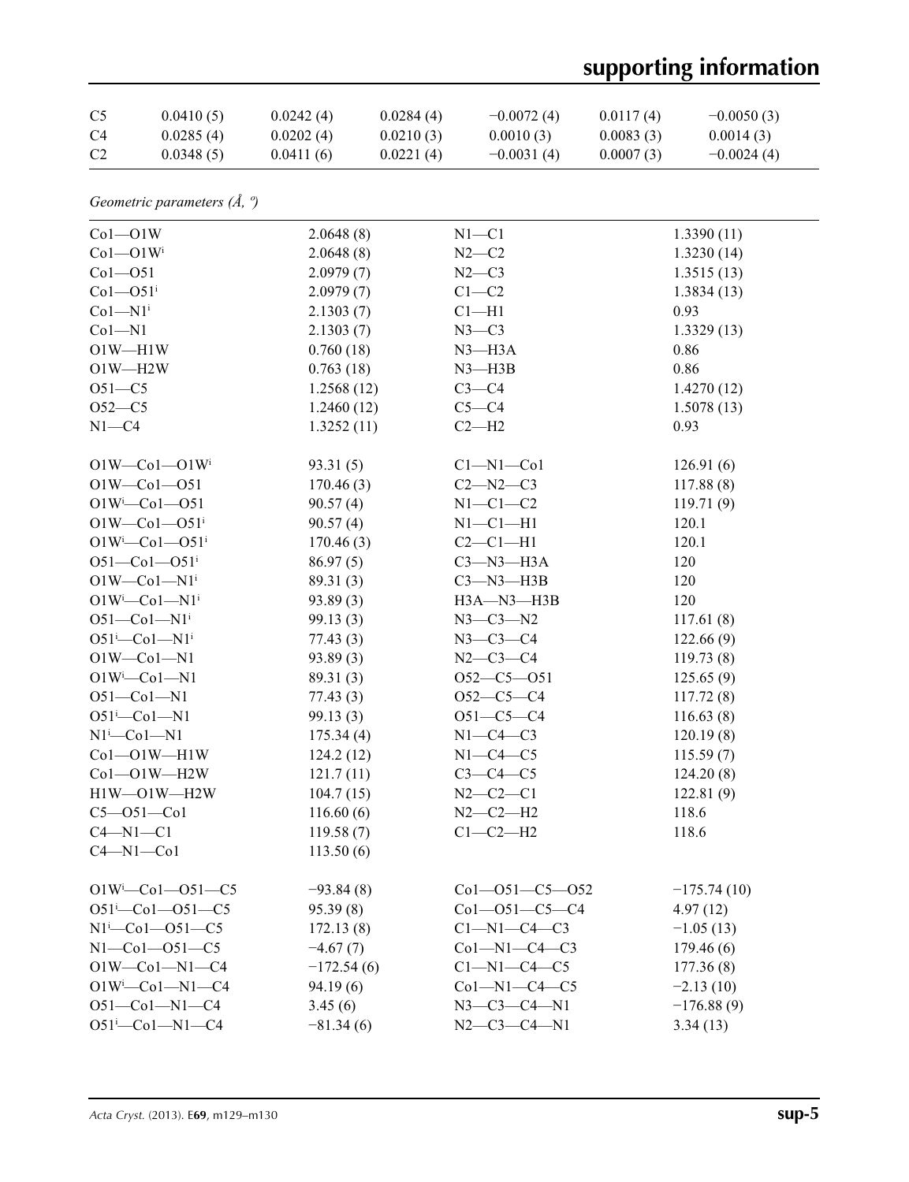# **supporting information**

| C <sub>5</sub>                             | 0.0410(5)                             | 0.0242(4)                 | 0.0284(4)  | $-0.0072(4)$           | 0.0117(4) | $-0.0050(3)$  |  |
|--------------------------------------------|---------------------------------------|---------------------------|------------|------------------------|-----------|---------------|--|
| C <sub>4</sub>                             | 0.0285(4)                             | 0.0202(4)                 | 0.0210(3)  | 0.0010(3)              | 0.0083(3) | 0.0014(3)     |  |
| C <sub>2</sub>                             | 0.0348(5)                             | 0.0411(6)                 | 0.0221(4)  | $-0.0031(4)$           | 0.0007(3) | $-0.0024(4)$  |  |
|                                            | Geometric parameters $(\AA, \degree)$ |                           |            |                        |           |               |  |
| $Co1 - O1W$                                |                                       | 2.0648(8)                 |            | $N1 - C1$              |           | 1.3390(11)    |  |
| $Co1 - O1Wi$                               |                                       | 2.0648(8)                 |            | $N2-C2$                |           | 1.3230(14)    |  |
| $Co1 - O51$                                |                                       | 2.0979(7)                 |            | $N2-C3$                |           | 1.3515(13)    |  |
| $Co1 - O51$ <sup>i</sup>                   |                                       | 2.0979(7)                 |            | $C1-C2$                |           | 1.3834(13)    |  |
| $Co1 - N1$ <sup>i</sup>                    |                                       | 2.1303(7)                 |            | $Cl-H1$                |           | 0.93          |  |
| $Co1 - N1$                                 |                                       | 2.1303(7)                 |            | $N3-C3$                |           | 1.3329(13)    |  |
| $O1W - H1W$                                |                                       | 0.760(18)                 |            | $N3$ —H $3A$           |           | 0.86          |  |
| $O1W - H2W$                                |                                       | 0.763(18)                 |            | $N3 - H3B$             |           | 0.86          |  |
| $O51 - C5$                                 |                                       | 1.2568(12)                |            | $C3-C4$                |           | 1.4270(12)    |  |
| $O52-C5$                                   |                                       | 1.2460(12)                |            | $C5 - C4$              |           | 1.5078(13)    |  |
| $N1 - C4$                                  |                                       | 1.3252(11)                |            | $C2-H2$                |           | 0.93          |  |
| $O1W$ — $Co1$ — $O1W$ <sup>i</sup>         |                                       | 93.31(5)                  |            | $Cl-M1-C01$            |           | 126.91(6)     |  |
| $O1W - Co1 - O51$                          |                                       | 170.46(3)                 |            | $C2 - N2 - C3$         | 117.88(8) |               |  |
| $O1W^{i}$ -Co1-051                         |                                       | 90.57(4)                  |            | $N1-C1-C2$             | 119.71(9) |               |  |
| $O1W$ — $Co1$ — $O51$ <sup>i</sup>         |                                       | 90.57(4)                  |            | $N1-C1-H1$             | 120.1     |               |  |
| $O1W^{i}$ -Co1- $O51^{i}$                  |                                       | 170.46(3)                 |            | $C2-C1-H1$             | 120.1     |               |  |
| $O51 - Co1 - O51$ <sup>i</sup>             |                                       | 86.97(5)                  |            | $C3 - N3 - H3A$<br>120 |           |               |  |
| $O1W$ — $Co1$ — $N1i$                      |                                       | 89.31(3)                  |            | $C3 - N3 - H3B$<br>120 |           |               |  |
| $O1W^{i}$ -Co $1$ -N $1^{i}$               |                                       | 93.89(3)                  |            | H3A-N3-H3B             |           | 120           |  |
| $O51-Co1-N1i$                              |                                       | 99.13(3)                  |            | $N3 - C3 - N2$         |           | 117.61(8)     |  |
| $O51^{\text{i}}$ -Col-N1 <sup>i</sup>      |                                       | 77.43(3)                  |            | $N3 - C3 - C4$         |           | 122.66(9)     |  |
| $O1W - Co1 - N1$                           |                                       | 93.89(3)                  |            | $N2 - C3 - C4$         |           | 119.73(8)     |  |
| $O1W^{i}$ -Co $1$ -N1                      |                                       | 89.31(3)                  |            | $O52-C5-O51$           |           | 125.65(9)     |  |
| $O51 - Co1 - N1$                           |                                       | 77.43(3)                  |            | $O52-C5-C4$            |           | 117.72(8)     |  |
| $O51^{\text{i}}$ -Col-N1                   |                                       | 99.13(3)                  |            | $O51-C5-C4$            |           | 116.63(8)     |  |
| $N1$ <sup>i</sup> -Co $1$ -N1<br>175.34(4) |                                       |                           | $N1-C4-C3$ |                        | 120.19(8) |               |  |
| $Co1 - O1W - H1W$                          |                                       | 124.2(12)                 |            | $N1-C4-C5$             |           | 115.59(7)     |  |
| $Co1 - O1W - H2W$                          |                                       | 121.7(11)                 |            | $C3-C4-C5$             |           | 124.20(8)     |  |
| $H1W$ $-$ O1W $-H2W$                       |                                       | 104.7(15)                 |            | $N2 - C2 - C1$         |           | 122.81(9)     |  |
| $C5 - O51 - Co1$                           |                                       | 116.60(6)                 |            | $N2 - C2 - H2$         |           | 118.6         |  |
| $C4 - N1 - C1$                             |                                       | 119.58(7)                 |            | $C1-C2-H2$             |           | 118.6         |  |
| $C4 - N1 - Co1$                            |                                       | 113.50(6)                 |            |                        |           |               |  |
|                                            | $O1W^{i}$ -Co1- $O51$ -C5             | $-93.84(8)$               |            | $Co1 - O51 - C5 - O52$ |           | $-175.74(10)$ |  |
|                                            | $O51^{i} - Co1 - O51 - C5$            | 95.39(8)                  |            | $Co1 - O51 - C5 - C4$  |           | 4.97(12)      |  |
| $N1^{i}$ - Co1 - - O51 - C5                |                                       | 172.13(8)                 |            | $C1-M1-C4-C3$          |           | $-1.05(13)$   |  |
| $N1 - Co1 - O51 - C5$                      |                                       | $-4.67(7)$                |            | $Co1-M1-C4-C3$         |           | 179.46(6)     |  |
| $O1W$ — $Co1$ — $N1$ — $C4$                |                                       | $-172.54(6)$              |            | $C1 - N1 - C4 - C5$    |           | 177.36(8)     |  |
| $O1W^{i}$ -Co1-N1-C4                       |                                       | 94.19(6)                  |            | $Co1 - N1 - C4 - C5$   |           | $-2.13(10)$   |  |
| $O51 - Co1 - N1 - C4$                      |                                       | 3.45(6)                   |            | $N3 - C3 - C4 - N1$    |           | $-176.88(9)$  |  |
| $O51^{i} - Co1 - N1 - C4$<br>$-81.34(6)$   |                                       | $N2-C3-C4-N1$<br>3.34(13) |            |                        |           |               |  |